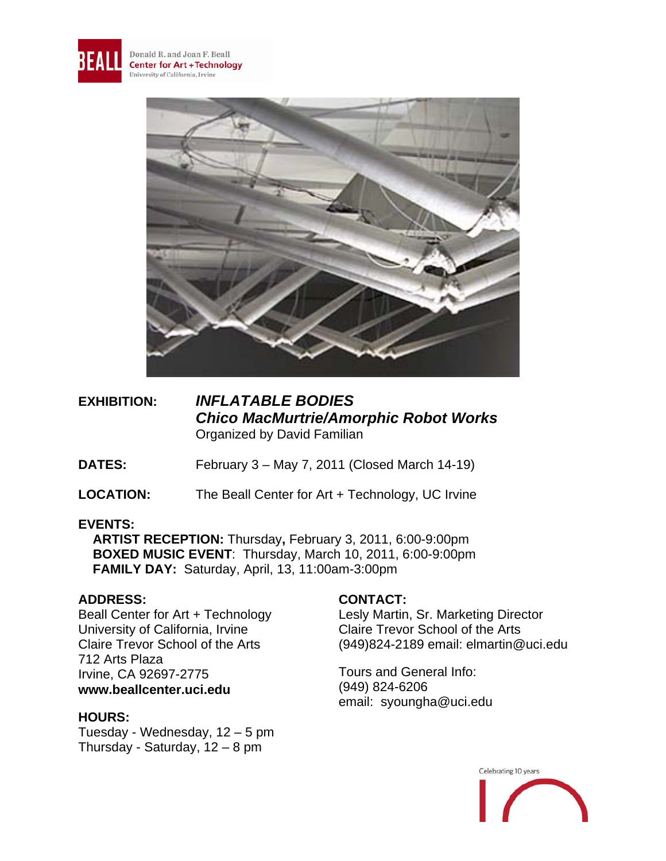



**EXHIBITION:** *INFLATABLE BODIES Chico MacMurtrie/Amorphic Robot Works* Organized by David Familian

**DATES:** February 3 – May 7, 2011 (Closed March 14-19)

**LOCATION:** The Beall Center for Art + Technology, UC Irvine

## **EVENTS:**

 **ARTIST RECEPTION:** Thursday**,** February 3, 2011, 6:00-9:00pm  **BOXED MUSIC EVENT**: Thursday, March 10, 2011, 6:00-9:00pm  **FAMILY DAY:** Saturday, April, 13, 11:00am-3:00pm

## **ADDRESS:**

Beall Center for Art + Technology University of California, Irvine Claire Trevor School of the Arts 712 Arts Plaza Irvine, CA 92697-2775 **www.beallcenter.uci.edu** 

#### **HOURS:**

Tuesday - Wednesday, 12 – 5 pm Thursday - Saturday, 12 – 8 pm

# **CONTACT:**

Lesly Martin, Sr. Marketing Director Claire Trevor School of the Arts (949)824-2189 email: elmartin@uci.edu

Tours and General Info: (949) 824-6206 email: syoungha@uci.edu

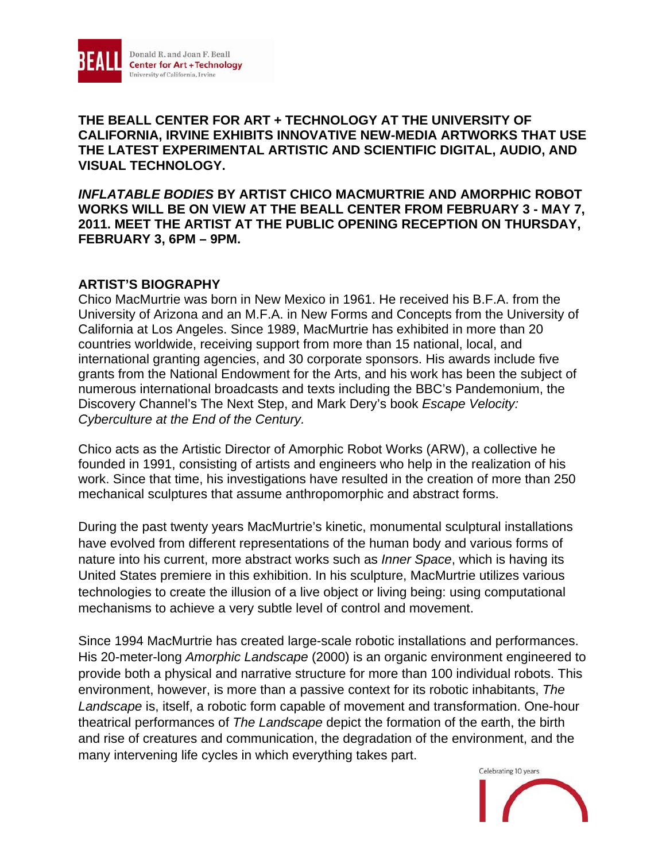

**THE BEALL CENTER FOR ART + TECHNOLOGY AT THE UNIVERSITY OF CALIFORNIA, IRVINE EXHIBITS INNOVATIVE NEW-MEDIA ARTWORKS THAT USE THE LATEST EXPERIMENTAL ARTISTIC AND SCIENTIFIC DIGITAL, AUDIO, AND VISUAL TECHNOLOGY.** 

*INFLATABLE BODIES* **BY ARTIST CHICO MACMURTRIE AND AMORPHIC ROBOT WORKS WILL BE ON VIEW AT THE BEALL CENTER FROM FEBRUARY 3 - MAY 7, 2011. MEET THE ARTIST AT THE PUBLIC OPENING RECEPTION ON THURSDAY, FEBRUARY 3, 6PM – 9PM.** 

### **ARTIST'S BIOGRAPHY**

Chico MacMurtrie was born in New Mexico in 1961. He received his B.F.A. from the University of Arizona and an M.F.A. in New Forms and Concepts from the University of California at Los Angeles. Since 1989, MacMurtrie has exhibited in more than 20 countries worldwide, receiving support from more than 15 national, local, and international granting agencies, and 30 corporate sponsors. His awards include five grants from the National Endowment for the Arts, and his work has been the subject of numerous international broadcasts and texts including the BBC's Pandemonium, the Discovery Channel's The Next Step, and Mark Dery's book *Escape Velocity: Cyberculture at the End of the Century.* 

Chico acts as the Artistic Director of Amorphic Robot Works (ARW), a collective he founded in 1991, consisting of artists and engineers who help in the realization of his work. Since that time, his investigations have resulted in the creation of more than 250 mechanical sculptures that assume anthropomorphic and abstract forms.

During the past twenty years MacMurtrie's kinetic, monumental sculptural installations have evolved from different representations of the human body and various forms of nature into his current, more abstract works such as *Inner Space*, which is having its United States premiere in this exhibition. In his sculpture, MacMurtrie utilizes various technologies to create the illusion of a live object or living being: using computational mechanisms to achieve a very subtle level of control and movement.

Since 1994 MacMurtrie has created large-scale robotic installations and performances. His 20-meter-long *Amorphic Landscape* (2000) is an organic environment engineered to provide both a physical and narrative structure for more than 100 individual robots. This environment, however, is more than a passive context for its robotic inhabitants, *The Landscape* is, itself, a robotic form capable of movement and transformation. One-hour theatrical performances of *The Landscape* depict the formation of the earth, the birth and rise of creatures and communication, the degradation of the environment, and the many intervening life cycles in which everything takes part.

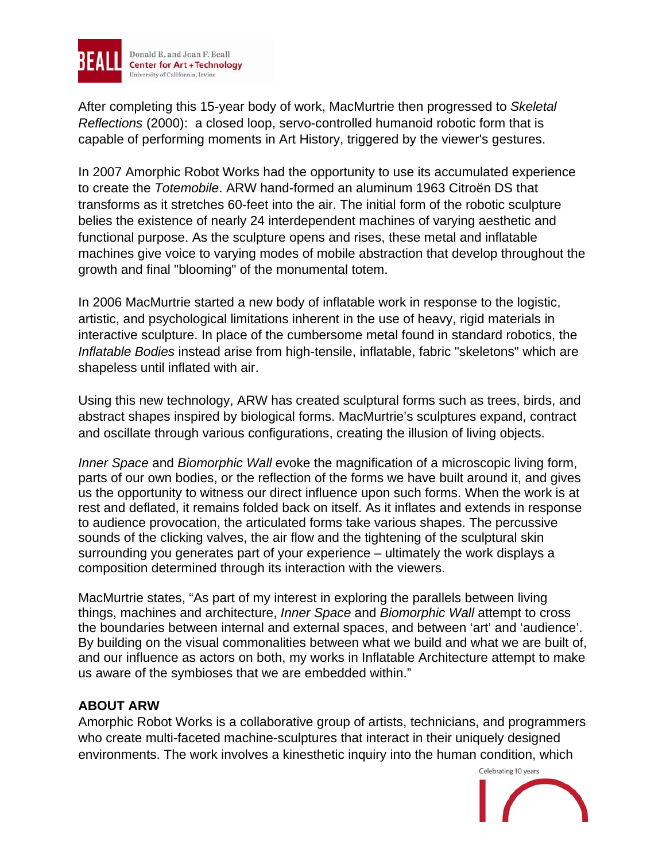

After completing this 15-year body of work, MacMurtrie then progressed to *Skeletal Reflections* (2000): a closed loop, servo-controlled humanoid robotic form that is capable of performing moments in Art History, triggered by the viewer's gestures.

In 2007 Amorphic Robot Works had the opportunity to use its accumulated experience to create the *Totemobile*. ARW hand-formed an aluminum 1963 Citroën DS that transforms as it stretches 60-feet into the air. The initial form of the robotic sculpture belies the existence of nearly 24 interdependent machines of varying aesthetic and functional purpose. As the sculpture opens and rises, these metal and inflatable machines give voice to varying modes of mobile abstraction that develop throughout the growth and final "blooming" of the monumental totem.

In 2006 MacMurtrie started a new body of inflatable work in response to the logistic, artistic, and psychological limitations inherent in the use of heavy, rigid materials in interactive sculpture. In place of the cumbersome metal found in standard robotics, the *Inflatable Bodies* instead arise from high-tensile, inflatable, fabric "skeletons" which are shapeless until inflated with air.

Using this new technology, ARW has created sculptural forms such as trees, birds, and abstract shapes inspired by biological forms. MacMurtrie's sculptures expand, contract and oscillate through various configurations, creating the illusion of living objects.

*Inner Space* and *Biomorphic Wall* evoke the magnification of a microscopic living form, parts of our own bodies, or the reflection of the forms we have built around it, and gives us the opportunity to witness our direct influence upon such forms. When the work is at rest and deflated, it remains folded back on itself. As it inflates and extends in response to audience provocation, the articulated forms take various shapes. The percussive sounds of the clicking valves, the air flow and the tightening of the sculptural skin surrounding you generates part of your experience – ultimately the work displays a composition determined through its interaction with the viewers.

MacMurtrie states, "As part of my interest in exploring the parallels between living things, machines and architecture, *Inner Space* and *Biomorphic Wall* attempt to cross the boundaries between internal and external spaces, and between 'art' and 'audience'. By building on the visual commonalities between what we build and what we are built of, and our influence as actors on both, my works in Inflatable Architecture attempt to make us aware of the symbioses that we are embedded within."

# **ABOUT ARW**

Amorphic Robot Works is a collaborative group of artists, technicians, and programmers who create multi-faceted machine-sculptures that interact in their uniquely designed environments. The work involves a kinesthetic inquiry into the human condition, which

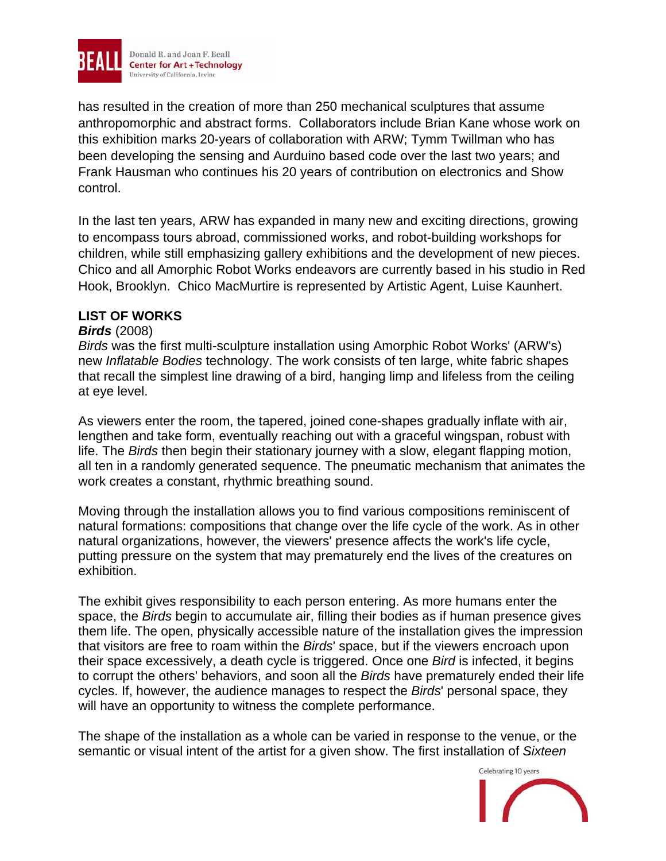

has resulted in the creation of more than 250 mechanical sculptures that assume anthropomorphic and abstract forms. Collaborators include Brian Kane whose work on this exhibition marks 20-years of collaboration with ARW; Tymm Twillman who has been developing the sensing and Aurduino based code over the last two years; and Frank Hausman who continues his 20 years of contribution on electronics and Show control.

In the last ten years, ARW has expanded in many new and exciting directions, growing to encompass tours abroad, commissioned works, and robot-building workshops for children, while still emphasizing gallery exhibitions and the development of new pieces. Chico and all Amorphic Robot Works endeavors are currently based in his studio in Red Hook, Brooklyn. Chico MacMurtire is represented by Artistic Agent, Luise Kaunhert.

## **LIST OF WORKS**

#### *Birds* (2008)

*Birds* was the first multi-sculpture installation using Amorphic Robot Works' (ARW's) new *Inflatable Bodies* technology. The work consists of ten large, white fabric shapes that recall the simplest line drawing of a bird, hanging limp and lifeless from the ceiling at eye level.

As viewers enter the room, the tapered, joined cone-shapes gradually inflate with air, lengthen and take form, eventually reaching out with a graceful wingspan, robust with life. The *Birds* then begin their stationary journey with a slow, elegant flapping motion, all ten in a randomly generated sequence. The pneumatic mechanism that animates the work creates a constant, rhythmic breathing sound.

Moving through the installation allows you to find various compositions reminiscent of natural formations: compositions that change over the life cycle of the work. As in other natural organizations, however, the viewers' presence affects the work's life cycle, putting pressure on the system that may prematurely end the lives of the creatures on exhibition.

The exhibit gives responsibility to each person entering. As more humans enter the space, the *Birds* begin to accumulate air, filling their bodies as if human presence gives them life. The open, physically accessible nature of the installation gives the impression that visitors are free to roam within the *Birds*' space, but if the viewers encroach upon their space excessively, a death cycle is triggered. Once one *Bird* is infected, it begins to corrupt the others' behaviors, and soon all the *Birds* have prematurely ended their life cycles. If, however, the audience manages to respect the *Birds*' personal space, they will have an opportunity to witness the complete performance.

The shape of the installation as a whole can be varied in response to the venue, or the semantic or visual intent of the artist for a given show. The first installation of *Sixteen* 

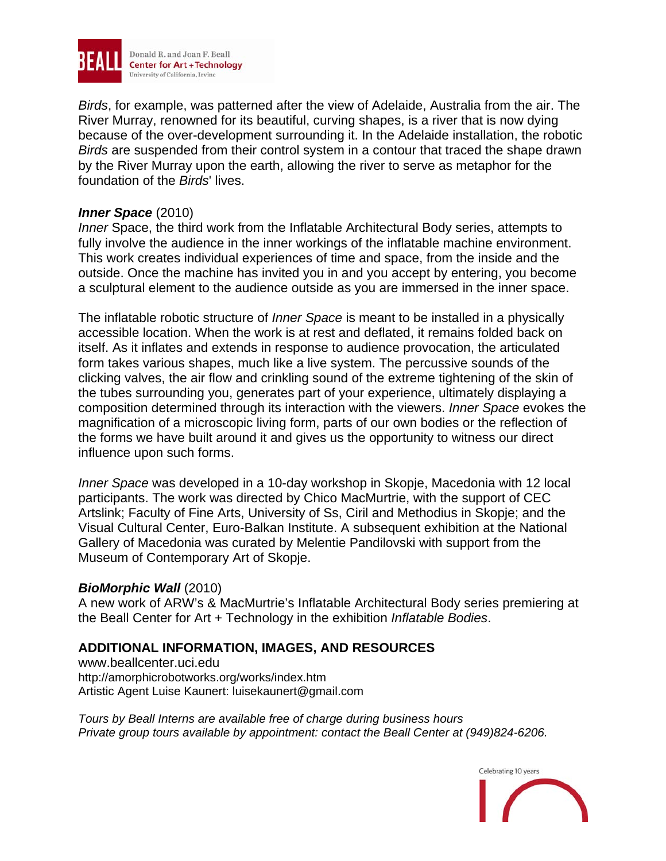

*Birds*, for example, was patterned after the view of Adelaide, Australia from the air. The River Murray, renowned for its beautiful, curving shapes, is a river that is now dying because of the over-development surrounding it. In the Adelaide installation, the robotic *Birds* are suspended from their control system in a contour that traced the shape drawn by the River Murray upon the earth, allowing the river to serve as metaphor for the foundation of the *Birds*' lives.

#### *Inner Space* (2010)

*Inner* Space, the third work from the Inflatable Architectural Body series, attempts to fully involve the audience in the inner workings of the inflatable machine environment. This work creates individual experiences of time and space, from the inside and the outside. Once the machine has invited you in and you accept by entering, you become a sculptural element to the audience outside as you are immersed in the inner space.

The inflatable robotic structure of *Inner Space* is meant to be installed in a physically accessible location. When the work is at rest and deflated, it remains folded back on itself. As it inflates and extends in response to audience provocation, the articulated form takes various shapes, much like a live system. The percussive sounds of the clicking valves, the air flow and crinkling sound of the extreme tightening of the skin of the tubes surrounding you, generates part of your experience, ultimately displaying a composition determined through its interaction with the viewers. *Inner Space* evokes the magnification of a microscopic living form, parts of our own bodies or the reflection of the forms we have built around it and gives us the opportunity to witness our direct influence upon such forms.

*Inner Space* was developed in a 10-day workshop in Skopje, Macedonia with 12 local participants. The work was directed by Chico MacMurtrie, with the support of CEC Artslink; Faculty of Fine Arts, University of Ss, Ciril and Methodius in Skopje; and the Visual Cultural Center, Euro-Balkan Institute. A subsequent exhibition at the National Gallery of Macedonia was curated by Melentie Pandilovski with support from the Museum of Contemporary Art of Skopje.

#### *BioMorphic Wall* (2010)

A new work of ARW's & MacMurtrie's Inflatable Architectural Body series premiering at the Beall Center for Art + Technology in the exhibition *Inflatable Bodies*.

## **ADDITIONAL INFORMATION, IMAGES, AND RESOURCES**

www.beallcenter.uci.edu http://amorphicrobotworks.org/works/index.htm Artistic Agent Luise Kaunert: luisekaunert@gmail.com

*Tours by Beall Interns are available free of charge during business hours Private group tours available by appointment: contact the Beall Center at (949)824-6206.*